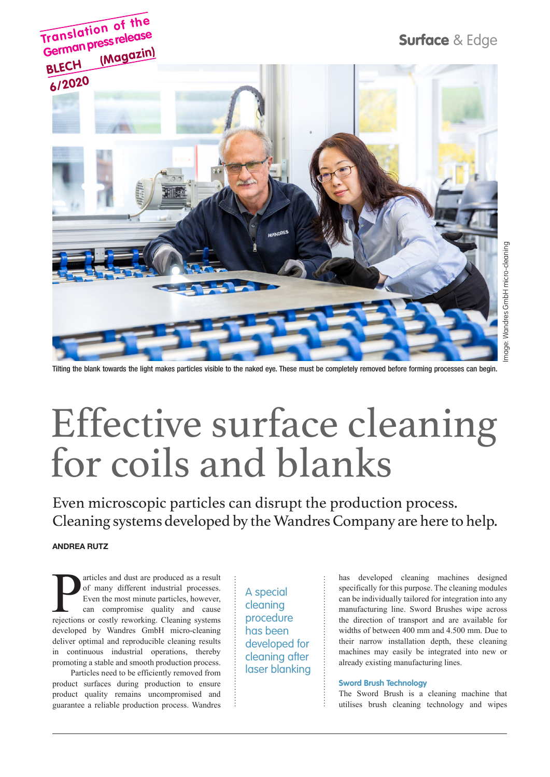# Surface & Edge



Tilting the blank towards the light makes particles visible to the naked eye. These must be completely removed before forming processes can begin.

# Effective surface cleaning for coils and blanks

Even microscopic particles can disrupt the production process. Cleaning systems developed by the Wandres Company are here to help.

## ANDREA RUTZ

**Translation of the** 

articles and dust are produced as a result<br>of many different industrial processes.<br>Even the most minute particles, however,<br>can compromise quality and cause<br>rejections or costly reworking. Cleaning systems articles and dust are produced as a result of many different industrial processes. Even the most minute particles, however, can compromise quality and cause developed by Wandres GmbH micro-cleaning deliver optimal and reproducible cleaning results in continuous industrial operations, thereby promoting a stable and smooth production process.

Particles need to be efficiently removed from product surfaces during production to ensure product quality remains uncompromised and guarantee a reliable production process. Wandres A special cleaning procedure has been developed for cleaning after laser blanking

has developed cleaning machines designed specifically for this purpose. The cleaning modules can be individually tailored for integration into any manufacturing line. Sword Brushes wipe across the direction of transport and are available for widths of between 400 mm and 4.500 mm. Due to their narrow installation depth, these cleaning machines may easily be integrated into new or already existing manufacturing lines.

#### **Sword Brush Technology**

The Sword Brush is a cleaning machine that utilises brush cleaning technology and wipes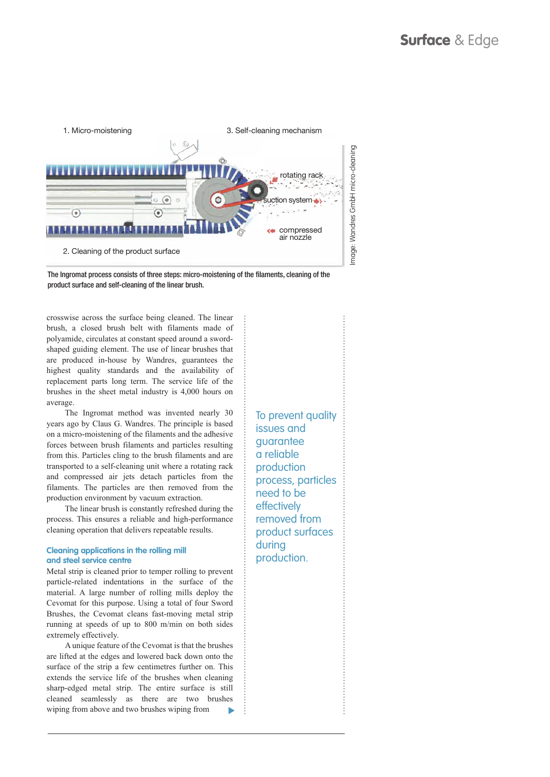

The Ingromat process consists of three steps: micro-moistening of the filaments, cleaning of the product surface and self-cleaning of the linear brush.

crosswise across the surface being cleaned. The linear brush, a closed brush belt with filaments made of polyamide, circulates at constant speed around a swordshaped guiding element. The use of linear brushes that are produced in-house by Wandres, guarantees the highest quality standards and the availability of replacement parts long term. The service life of the brushes in the sheet metal industry is 4,000 hours on average.

The Ingromat method was invented nearly 30 years ago by Claus G. Wandres. The principle is based on a micro-moistening of the filaments and the adhesive forces between brush filaments and particles resulting from this. Particles cling to the brush filaments and are transported to a self-cleaning unit where a rotating rack and compressed air jets detach particles from the filaments. The particles are then removed from the production environment by vacuum extraction.

The linear brush is constantly refreshed during the process. This ensures a reliable and high-performance cleaning operation that delivers repeatable results.

## **Cleaning applications in the rolling mill and steel service centre**

Metal strip is cleaned prior to temper rolling to prevent particle-related indentations in the surface of the material. A large number of rolling mills deploy the Cevomat for this purpose. Using a total of four Sword Brushes, the Cevomat cleans fast-moving metal strip running at speeds of up to 800 m/min on both sides extremely effectively.

A unique feature of the Cevomat is that the brushes are lifted at the edges and lowered back down onto the surface of the strip a few centimetres further on. This extends the service life of the brushes when cleaning sharp-edged metal strip. The entire surface is still cleaned seamlessly as there are two brushes wiping from above and two brushes wiping from

To prevent quality issues and guarantee a reliable production process, particles need to be effectively removed from product surfaces during production.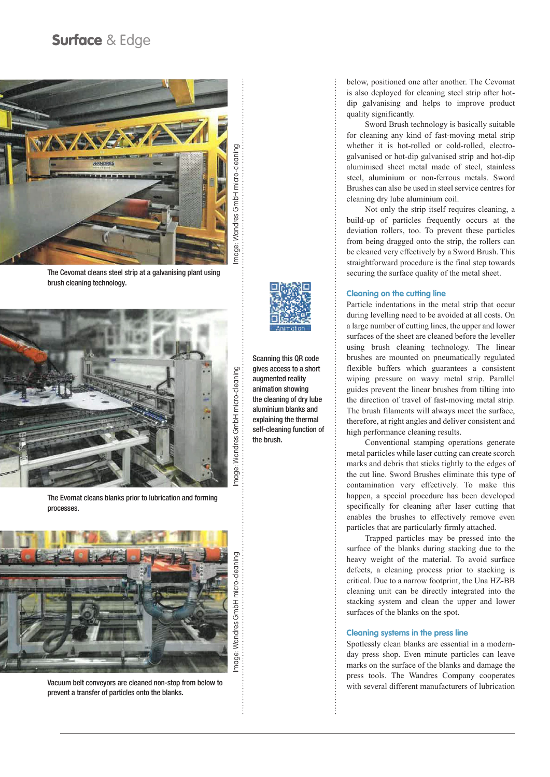# Surface & Edge



The Cevomat cleans steel strip at a galvanising plant using brush cleaning technology.



The Evomat cleans blanks prior to lubrication and forming processes.



Vacuum belt conveyors are cleaned non-stop from below to prevent a transfer of particles onto the blanks.



Scanning this QR code gives access to a short augmented reality animation showing the cleaning of dry lube aluminium blanks and explaining the thermal self-cleaning function of the brush.

÷

below, positioned one after another. The Cevomat is also deployed for cleaning steel strip after hotdip galvanising and helps to improve product quality significantly.

Sword Brush technology is basically suitable for cleaning any kind of fast-moving metal strip whether it is hot-rolled or cold-rolled, electrogalvanised or hot-dip galvanised strip and hot-dip aluminised sheet metal made of steel, stainless steel, aluminium or non-ferrous metals. Sword Brushes can also be used in steel service centres for cleaning dry lube aluminium coil.

Not only the strip itself requires cleaning, a build-up of particles frequently occurs at the deviation rollers, too. To prevent these particles from being dragged onto the strip, the rollers can be cleaned very effectively by a Sword Brush. This straightforward procedure is the final step towards securing the surface quality of the metal sheet.

#### **Cleaning on the cutting line**

Particle indentations in the metal strip that occur during levelling need to be avoided at all costs. On a large number of cutting lines, the upper and lower surfaces of the sheet are cleaned before the leveller using brush cleaning technology. The linear brushes are mounted on pneumatically regulated flexible buffers which guarantees a consistent wiping pressure on wavy metal strip. Parallel guides prevent the linear brushes from tilting into the direction of travel of fast-moving metal strip. The brush filaments will always meet the surface, therefore, at right angles and deliver consistent and high performance cleaning results.

Conventional stamping operations generate metal particles while laser cutting can create scorch marks and debris that sticks tightly to the edges of the cut line. Sword Brushes eliminate this type of contamination very effectively. To make this happen, a special procedure has been developed specifically for cleaning after laser cutting that enables the brushes to effectively remove even particles that are particularly firmly attached.

Trapped particles may be pressed into the surface of the blanks during stacking due to the heavy weight of the material. To avoid surface defects, a cleaning process prior to stacking is critical. Due to a narrow footprint, the Una HZ-BB cleaning unit can be directly integrated into the stacking system and clean the upper and lower surfaces of the blanks on the spot.

## **Cleaning systems in the press line**

Spotlessly clean blanks are essential in a modernday press shop. Even minute particles can leave marks on the surface of the blanks and damage the press tools. The Wandres Company cooperates with several different manufacturers of lubrication